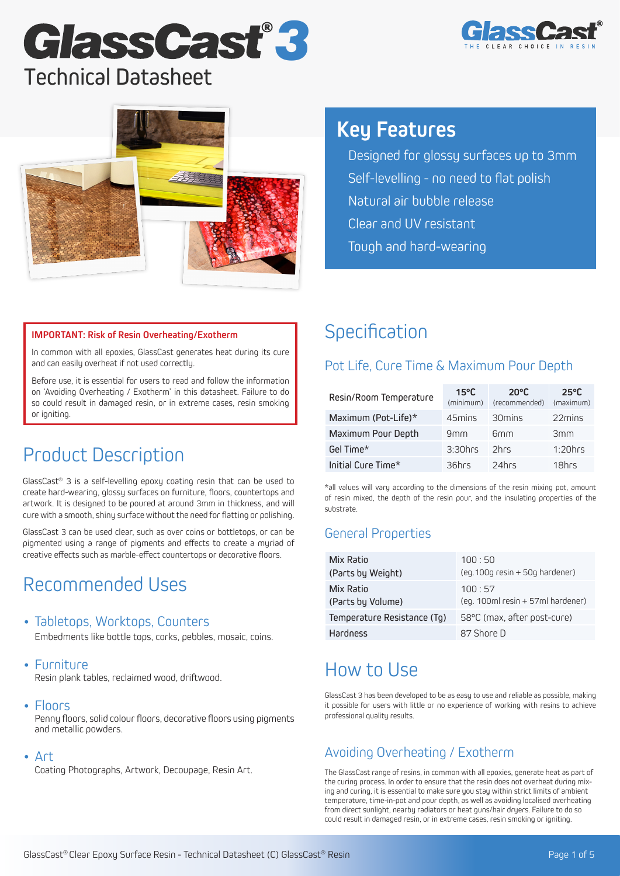# Technical Datasheet GlassCast<sup>®</sup>3





## **Key Features**

• Designed for glossy surfaces up to 3mm • Self-levelling - no need to flat polish • Natural air bubble release Clear and UV resistant • Tough and hard-wearing

#### **IMPORTANT: Risk of Resin Overheating/Exotherm**

In common with all epoxies, GlassCast generates heat during its cure and can easily overheat if not used correctly.

Before use, it is essential for users to read and follow the information on 'Avoiding Overheating / Exotherm' in this datasheet. Failure to do so could result in damaged resin, or in extreme cases, resin smoking or igniting.

## Product Description

GlassCast® 3 is a self-levelling epoxy coating resin that can be used to create hard-wearing, glossy surfaces on furniture, floors, countertops and artwork. It is designed to be poured at around 3mm in thickness, and will cure with a smooth, shiny surface without the need for flatting or polishing.

GlassCast 3 can be used clear, such as over coins or bottletops, or can be pigmented using a range of pigments and effects to create a myriad of creative effects such as marble-effect countertops or decorative floors.

## Recommended Uses

### • Tabletops, Worktops, Counters

Embedments like bottle tops, corks, pebbles, mosaic, coins.

#### • Furniture

Resin plank tables, reclaimed wood, driftwood.

#### • Floors

Penny floors, solid colour floors, decorative floors using pigments and metallic powders.

#### • Art

Coating Photographs, Artwork, Decoupage, Resin Art.

## **Specification**

### Pot Life, Cure Time & Maximum Pour Depth

| Resin/Room Temperature | $15^{\circ}$ C<br>(minimum) | $20^{\circ}$ C<br>(recommended) | $25^{\circ}$ C<br>(maximum) |
|------------------------|-----------------------------|---------------------------------|-----------------------------|
| Maximum (Pot-Life)*    | 45mins                      | 30 mins                         | 22mins                      |
| Maximum Pour Depth     | 9mm                         | 6 <sub>mm</sub>                 | 3mm                         |
| Gel Time*              | $3:30$ hrs                  | 2hrs                            | $1:20$ hrs                  |
| Initial Cure Time*     | 36hrs                       | 24hrs                           | 18hrs                       |

\*all values will vary according to the dimensions of the resin mixing pot, amount of resin mixed, the depth of the resin pour, and the insulating properties of the substrate.

### General Properties

| Mix Ratio                   | 100:50                            |
|-----------------------------|-----------------------------------|
| (Parts by Weight)           | $(eq.100q$ resin $+50q$ hardener) |
| Mix Ratio                   | 100:57                            |
| (Parts by Volume)           | (eq. 100ml resin + 57ml hardener) |
| Temperature Resistance (Tg) | 58°C (max, after post-cure)       |
| Hardness                    | 87 Shore D                        |

## How to Use

GlassCast 3 has been developed to be as easy to use and reliable as possible, making it possible for users with little or no experience of working with resins to achieve professional quality results.

## Avoiding Overheating / Exotherm

The GlassCast range of resins, in common with all epoxies, generate heat as part of the curing process. In order to ensure that the resin does not overheat during mixing and curing, it is essential to make sure you stay within strict limits of ambient temperature, time-in-pot and pour depth, as well as avoiding localised overheating from direct sunlight, nearby radiators or heat guns/hair dryers. Failure to do so could result in damaged resin, or in extreme cases, resin smoking or igniting.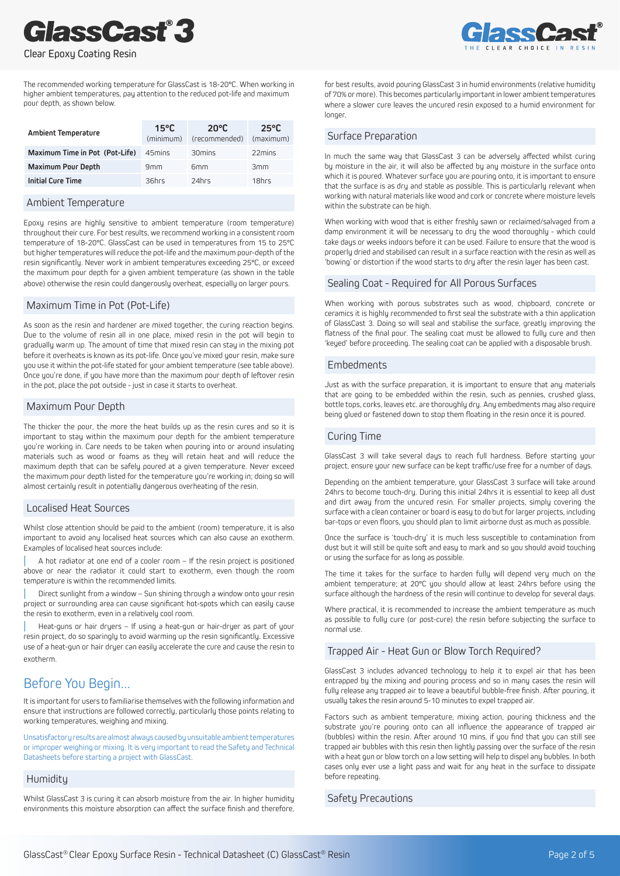# **GlassCast®3**



#### Clear Epoxy Coating Resin

The recommended working temperature for GlassCast is 18-20°C. When working in higher ambient temperatures, pay attention to the reduced pot-life and maximum pour depth, as shown below.

| <b>Ambient Temperature</b>     | $15^{\circ}$ C<br>(minimum) | $20^{\circ}$ C<br>(recommended) | $25^{\circ}$ C<br>(maximum) |
|--------------------------------|-----------------------------|---------------------------------|-----------------------------|
| Maximum Time in Pot (Pot-Life) | 45mins                      | 30mins                          | 22mins                      |
| <b>Maximum Pour Depth</b>      | 9mm                         | 6 <sub>mm</sub>                 | 3mm                         |
| <b>Initial Cure Time</b>       | 36hrs                       | 24hrs                           | 18hrs                       |

#### Ambient Temperature

Epoxy resins are highly sensitive to ambient temperature (room temperature) throughout their cure. For best results, we recommend working in a consistent room temperature of 18-20°C. GlassCast can be used in temperatures from 15 to 25°C but higher temperatures will reduce the pot-life and the maximum pour-depth of the resin significantly. Never work in ambient temperatures exceeding 25°C, or exceed the maximum pour depth for a given ambient temperature (as shown in the table above) otherwise the resin could dangerously overheat, especially on larger pours.

#### Maximum Time in Pot (Pot-Life)

As soon as the resin and hardener are mixed together, the curing reaction begins. Due to the volume of resin all in one place, mixed resin in the pot will begin to gradually warm up. The amount of time that mixed resin can stay in the mixing pot before it overheats is known as its pot-life. Once you've mixed your resin, make sure you use it within the pot-life stated for your ambient temperature (see table above). Once you're done, if you have more than the maximum pour depth of leftover resin in the pot, place the pot outside - just in case it starts to overheat.

#### Maximum Pour Depth

The thicker the pour, the more the heat builds up as the resin cures and so it is important to stay within the maximum pour depth for the ambient temperature you're working in. Care needs to be taken when pouring into or around insulating materials such as wood or foams as they will retain heat and will reduce the maximum depth that can be safely poured at a given temperature. Never exceed the maximum pour depth listed for the temperature you're working in; doing so will almost certainly result in potentially dangerous overheating of the resin.

#### Localised Heat Sources

Whilst close attention should be paid to the ambient (room) temperature, it is also important to avoid any localised heat sources which can also cause an exotherm. Examples of localised heat sources include:

] A hot radiator at one end of a cooler room – If the resin project is positioned above or near the radiator it could start to exotherm, even though the room temperature is within the recommended limits.

Direct sunlight from a window – Sun shining through a window onto your resin project or surrounding area can cause significant hot-spots which can easily cause the resin to exotherm, even in a relatively cool room.

Heat-guns or hair dryers - If using a heat-gun or hair-dryer as part of your resin project, do so sparingly to avoid warming up the resin significantly. Excessive use of a heat-gun or hair dryer can easily accelerate the cure and cause the resin to exotherm.

### Before You Begin...

It is important for users to familiarise themselves with the following information and ensure that instructions are followed correctly, particularly those points relating to working temperatures, weighing and mixing.

Unsatisfactory results are almost always caused by unsuitable ambient temperatures or improper weighing or mixing. It is very important to read the Safety and Technical Datasheets before starting a project with GlassCast.

#### **Humiditu**

Whilst GlassCast 3 is curing it can absorb moisture from the air. In higher humidity environments this moisture absorption can affect the surface finish and therefore,

for best results, avoid pouring GlassCast 3 in humid environments (relative humidity of 70% or more). This becomes particularly important in lower ambient temperatures where a slower cure leaves the uncured resin exposed to a humid environment for longer.

#### Surface Preparation

In much the same way that GlassCast 3 can be adversely affected whilst curing by moisture in the air, it will also be affected by any moisture in the surface onto which it is poured. Whatever surface you are pouring onto, it is important to ensure that the surface is as dry and stable as possible. This is particularly relevant when working with natural materials like wood and cork or concrete where moisture levels within the substrate can be high.

When working with wood that is either freshly sawn or reclaimed/salvaged from a damp environment it will be necessary to dry the wood thoroughly - which could take days or weeks indoors before it can be used. Failure to ensure that the wood is properly dried and stabilised can result in a surface reaction with the resin as well as 'bowing' or distortion if the wood starts to dry after the resin layer has been cast.

#### Sealing Coat - Required for All Porous Surfaces

When working with porous substrates such as wood, chipboard, concrete or ceramics it is highly recommended to first seal the substrate with a thin application of GlassCast 3. Doing so will seal and stabilise the surface, greatly improving the flatness of the final pour. The sealing coat must be allowed to fully cure and then 'keyed' before proceeding. The sealing coat can be applied with a disposable brush.

#### Embedments

Just as with the surface preparation, it is important to ensure that any materials that are going to be embedded within the resin, such as pennies, crushed glass, bottle tops, corks, leaves etc. are thoroughly dry. Any embedments may also require being glued or fastened down to stop them floating in the resin once it is poured.

#### Curing Time

GlassCast 3 will take several daus to reach full hardness. Before starting your project, ensure your new surface can be kept traffic/use free for a number of days.

Depending on the ambient temperature, your GlassCast 3 surface will take around 24hrs to become touch-dry. During this initial 24hrs it is essential to keep all dust and dirt away from the uncured resin. For smaller projects, simply covering the surface with a clean container or board is easy to do but for larger projects, including bar-tops or even floors, you should plan to limit airborne dust as much as possible.

Once the surface is 'touch-dry' it is much less susceptible to contamination from dust but it will still be quite soft and easy to mark and so you should avoid touching or using the surface for as long as possible.

The time it takes for the surface to harden fully will depend very much on the ambient temperature; at 20°C you should allow at least 24hrs before using the surface although the hardness of the resin will continue to develop for several days.

Where practical, it is recommended to increase the ambient temperature as much as possible to fully cure (or post-cure) the resin before subjecting the surface to normal use.

#### Trapped Air - Heat Gun or Blow Torch Required?

GlassCast 3 includes advanced technology to help it to expel air that has been entrapped by the mixing and pouring process and so in many cases the resin will fully release any trapped air to leave a beautiful bubble-free finish. After pouring, it usually takes the resin around 5-10 minutes to expel trapped air.

Factors such as ambient temperature, mixing action, pouring thickness and the substrate you're pouring onto can all influence the appearance of trapped air (bubbles) within the resin. After around 10 mins, if you find that you can still see trapped air bubbles with this resin then lightly passing over the surface of the resin with a heat gun or blow torch on a low setting will help to dispel any bubbles. In both cases only ever use a light pass and wait for any heat in the surface to dissipate before repeating.

#### Safetu Precautions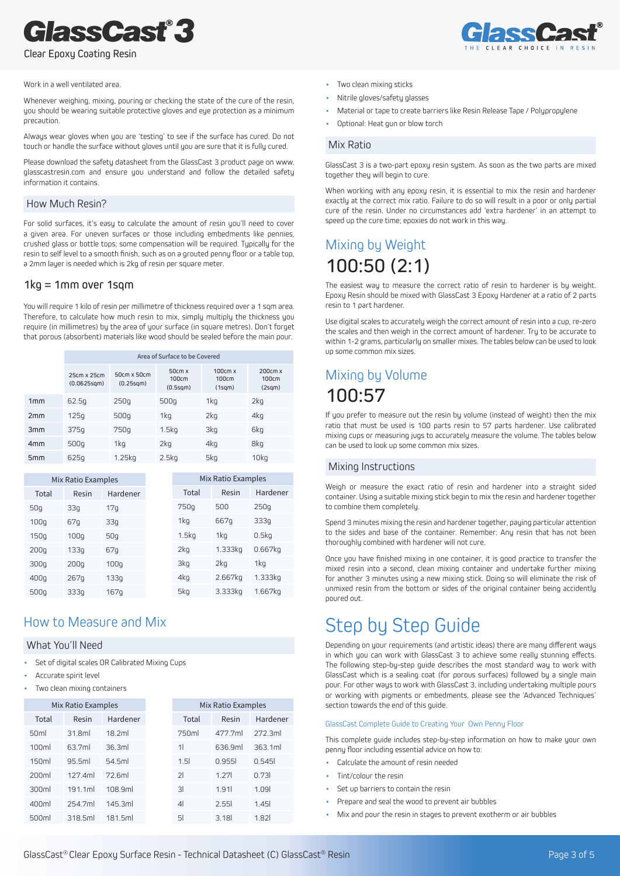### *3* lassCast

Clear Epoxy Coating Resin

#### Work in a well ventilated area.

Whenever weighing, mixing, pouring or checking the state of the cure of the resin, uou should be wearing suitable protective gloves and eye protection as a minimum precaution.

Always wear gloves when you are 'testing' to see if the surface has cured. Do not touch or handle the surface without gloves until you are sure that it is fully cured.

Please download the safety datasheet from the GlassCast 3 product page on www. glasscastresin.com and ensure you understand and follow the detailed safety information it contains.

#### How Much Resin?

For solid surfaces, it's easy to calculate the amount of resin you'll need to cover a given area. For uneven surfaces or those including embedments like pennies, crushed glass or bottle tops; some compensation will be required. Typically for the resin to self level to a smooth finish, such as on a grouted penny floor or a table top, a 2mm layer is needed which is 2kg of resin per square meter.

#### 1kg = 1mm over 1sqm

You will require 1 kilo of resin per millimetre of thickness required over a 1 sqm area. Therefore, to calculate how much resin to mix, simply multiply the thickness you require (in millimetres) by the area of your surface (in square metres). Don't forget that porous (absorbent) materials like wood should be sealed before the main pour.

|                | Area of Surface to be Covered          |                          |                             |                            |                            |  |
|----------------|----------------------------------------|--------------------------|-----------------------------|----------------------------|----------------------------|--|
|                | 25cm x 25cm<br>(0.0625s <sub>0</sub> ) | 50cm x 50cm<br>(0.25sqm) | 50cm x<br>100cm<br>(0.5sqm) | 100cm x<br>100cm<br>(1sqm) | 200cm x<br>100cm<br>(2sqm) |  |
| 1mm            | 62.5g                                  | 250q                     | 500g                        | 1kg                        | 2kg                        |  |
| 2mm            | 125q                                   | 500g                     | 1kg                         | 2kg                        | 4kg                        |  |
| 3mm            | 375q                                   | 750g                     | 1.5 <sub>kq</sub>           | 3kg                        | 6kg                        |  |
| 4 <sub>m</sub> | 500g                                   | 1kg                      | 2kg                         | 4kg                        | 8kg                        |  |
| 5 <sub>m</sub> | 625g                                   | 1.25kq                   | 2.5kg                       | 5kg                        | 10kg                       |  |

|                  | Mix Ratio Examples |                 |                   | Mix Ratio Examples |          |
|------------------|--------------------|-----------------|-------------------|--------------------|----------|
| Total            | Resin              | Hardener        | Total             | Resin              | Hardener |
| 50 <sub>q</sub>  | 33q                | 17 <sub>q</sub> | 750 <sub>g</sub>  | 500                | 250q     |
| 100q             | 67q                | 33q             | 1kg               | 667q               | 333g     |
| 150 <sub>g</sub> | 100q               | 50 <sub>9</sub> | 1.5 <sub>kq</sub> | 1kg                | 0.5kq    |
| 200q             | 133g               | 67g             | 2kg               | 1.333kg            | 0.667kg  |
| 300g             | 200q               | 100q            | 3kg               | 2kq                | 1kg      |
| 400 <sub>g</sub> | 267q               | 133q            | 4kg               | 2.667kg            | 1.333kg  |
| 500 <sub>g</sub> | 333q               | 167q            | 5kg               | 3.333kg            | 1.667kg  |

### How to Measure and Mix

#### What You'll Need

- Set of digital scales OR Calibrated Mixing Cups
- Accurate spirit level
- Two clean mixing containers

|                  | Mix Ratio Examples |          |                         | Mix Ratio Examples |          |
|------------------|--------------------|----------|-------------------------|--------------------|----------|
| Total            | Resin              | Hardener | Total                   | Resin              | Hardener |
| 50 <sub>ml</sub> | 31.8ml             | 18.2ml   | 750ml                   | 477.7ml            | 272.3ml  |
| 100ml            | 63.7ml             | 36.3ml   | 11                      | 636.9ml            | 363.1ml  |
| 150ml            | 95.5ml             | 54.5ml   | 1.5                     | 0.9551             | 0.545    |
| 200ml            | 127.4ml            | 72.6ml   | $\overline{2}$          | 1.27               | 0.731    |
| 300ml            | 191.1ml            | 108.9ml  | $\overline{\mathbf{3}}$ | 1.91               | 1.091    |
| 400ml            | 254.7ml            | 145.3ml  | 4                       | 2.551              | 1.45     |
| 500ml            | 318.5ml            | 181.5ml  | 51                      | 3.18               | 1.82     |



- Two clean mixing sticks
- Nitrile gloves/safety glasses
- Material or tape to create barriers like Resin Release Tape / Polypropulene
- Optional: Heat gun or blow torch

#### Mix Ratio

GlassCast 3 is a two-part epoxy resin system. As soon as the two parts are mixed together they will begin to cure.

When working with any epoxy resin, it is essential to mix the resin and hardener exactly at the correct mix ratio. Failure to do so will result in a poor or only partial cure of the resin. Under no circumstances add 'extra hardener' in an attempt to speed up the cure time; epoxies do not work in this way.

## Mixing by Weight 100:50 (2:1)

The easiest way to measure the correct ratio of resin to hardener is by weight. Epoxy Resin should be mixed with GlassCast 3 Epoxy Hardener at a ratio of 2 parts resin to 1 part hardener.

Use digital scales to accurately weigh the correct amount of resin into a cup, re-zero the scales and then weigh in the correct amount of hardener. Try to be accurate to within 1-2 grams, particularly on smaller mixes. The tables below can be used to look up some common mix sizes.

## Mixing by Volume 100:57

If you prefer to measure out the resin by volume (instead of weight) then the mix ratio that must be used is 100 parts resin to 57 parts hardener. Use calibrated mixing cups or measuring jugs to accurately measure the volume. The tables below can be used to look up some common mix sizes.

#### Mixing Instructions

Weigh or measure the exact ratio of resin and hardener into a straight sided container. Using a suitable mixing stick begin to mix the resin and hardener together to combine them completely.

Spend 3 minutes mixing the resin and hardener together, paying particular attention to the sides and base of the container. Remember: Any resin that has not been thoroughly combined with hardener will not cure.

Once you have finished mixing in one container, it is good practice to transfer the mixed resin into a second, clean mixing container and undertake further mixing for another 3 minutes using a new mixing stick. Doing so will eliminate the risk of unmixed resin from the bottom or sides of the original container being accidently poured out.

## Step by Step Guide

Depending on your requirements (and artistic ideas) there are many different ways in which you can work with GlassCast 3 to achieve some really stunning effects. The following step-by-step guide describes the most standard way to work with GlassCast which is a sealing coat (for porous surfaces) followed by a single main pour. For other ways to work with GlassCast 3, including undertaking multiple pours or working with pigments or embedments, please see the 'Advanced Techniques' section towards the end of this quide.

#### GlassCast Complete Guide to Creating Your Own Penny Floor

This complete guide includes step-by-step information on how to make your own penny floor including essential advice on how to:

- Calculate the amount of resin needed
- Tint/colour the resin
- Set up barriers to contain the resin
- Prepare and seal the wood to prevent air bubbles
- Mix and pour the resin in stages to prevent exotherm or air bubbles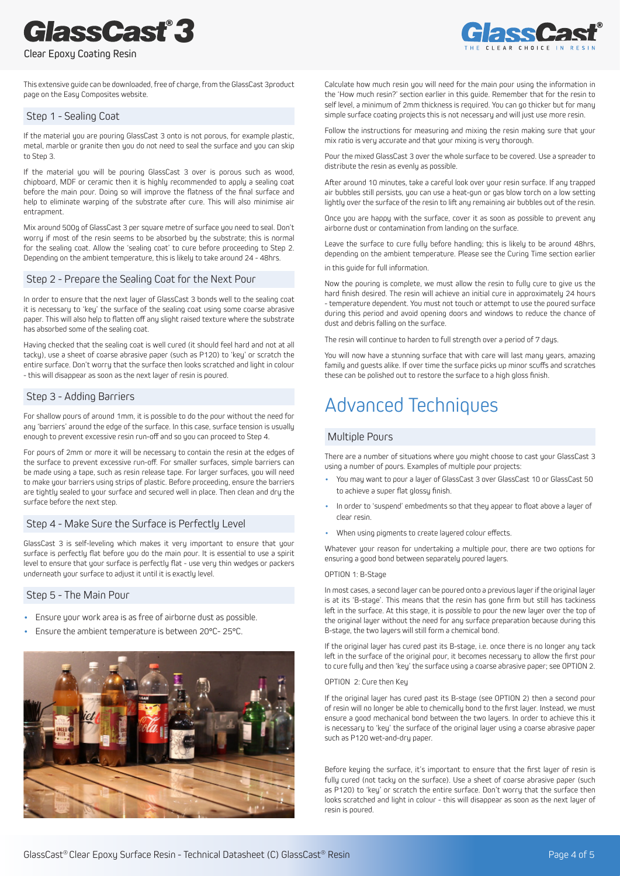# **GlassCast®3**

Clear Epoxy Coating Resin



This extensive guide can be downloaded, free of charge, from the GlassCast 3product page on the Easy Composites website.

#### Step 1 - Sealing Coat

If the material you are pouring GlassCast 3 onto is not porous, for example plastic, metal, marble or granite then you do not need to seal the surface and you can skip to Step 3.

If the material you will be pouring GlassCast 3 over is porous such as wood, chipboard, MDF or ceramic then it is highly recommended to apply a sealing coat before the main pour. Doing so will improve the flatness of the final surface and help to eliminate warping of the substrate after cure. This will also minimise air entrapment.

Mix around 500g of GlassCast 3 per square metre of surface you need to seal. Don't worru if most of the resin seems to be absorbed by the substrate; this is normal for the sealing coat. Allow the 'sealing coat' to cure before proceeding to Step 2. Depending on the ambient temperature, this is likely to take around 24 - 48hrs.

#### Step 2 - Prepare the Sealing Coat for the Next Pour

In order to ensure that the next layer of GlassCast 3 bonds well to the sealing coat it is necessary to 'key' the surface of the sealing coat using some coarse abrasive paper. This will also help to flatten off any slight raised texture where the substrate has absorbed some of the sealing coat.

Having checked that the sealing coat is well cured (it should feel hard and not at all tacky), use a sheet of coarse abrasive paper (such as P120) to 'key' or scratch the entire surface. Don't worry that the surface then looks scratched and light in colour - this will disappear as soon as the next lauer of resin is poured.

#### Step 3 - Adding Barriers

For shallow pours of around 1mm, it is possible to do the pour without the need for any 'barriers' around the edge of the surface. In this case, surface tension is usually enough to prevent excessive resin run-off and so you can proceed to Step 4.

For pours of 2mm or more it will be necessary to contain the resin at the edges of the surface to prevent excessive run-off. For smaller surfaces, simple barriers can be made using a tape, such as resin release tape. For larger surfaces, you will need to make your barriers using strips of plastic. Before proceeding, ensure the barriers are tightly sealed to your surface and secured well in place. Then clean and dry the surface before the next step.

#### Step 4 - Make Sure the Surface is Perfectly Level

GlassCast 3 is self-leveling which makes it very important to ensure that your surface is perfectly flat before you do the main pour. It is essential to use a spirit level to ensure that your surface is perfectly flat - use very thin wedges or packers underneath your surface to adjust it until it is exactly level.

#### Step 5 - The Main Pour

- Ensure your work area is as free of airborne dust as possible.
- Ensure the ambient temperature is between 20°C- 25°C.



Calculate how much resin you will need for the main pour using the information in the 'How much resin?' section earlier in this guide. Remember that for the resin to self level, a minimum of 2mm thickness is required. You can go thicker but for many simple surface coating projects this is not necessary and will just use more resin.

Follow the instructions for measuring and mixing the resin making sure that your mix ratio is very accurate and that your mixing is very thorough.

Pour the mixed GlassCast 3 over the whole surface to be covered. Use a spreader to distribute the resin as evenly as possible.

After around 10 minutes, take a careful look over your resin surface. If any trapped air bubbles still persists, you can use a heat-gun or gas blow torch on a low setting lightly over the surface of the resin to lift any remaining air bubbles out of the resin.

Once you are happy with the surface, cover it as soon as possible to prevent any airborne dust or contamination from landing on the surface.

Leave the surface to cure fully before handling; this is likely to be around 48hrs, depending on the ambient temperature. Please see the Curing Time section earlier

in this guide for full information.

Now the pouring is complete, we must allow the resin to fully cure to give us the hard finish desired. The resin will achieve an initial cure in approximately 24 hours - temperature dependent. You must not touch or attempt to use the poured surface during this period and avoid opening doors and windows to reduce the chance of dust and debris falling on the surface.

The resin will continue to harden to full strength over a period of 7 days.

You will now have a stunning surface that with care will last many years, amazing family and guests alike. If over time the surface picks up minor scuffs and scratches these can be polished out to restore the surface to a high gloss finish.

## Advanced Techniques

#### Multiple Pours

There are a number of situations where you might choose to cast your GlassCast 3 using a number of pours. Examples of multiple pour projects:

- You may want to pour a layer of GlassCast 3 over GlassCast 10 or GlassCast 50 to achieve a super flat glossy finish.
- In order to 'suspend' embedments so that they appear to float above a layer of clear resin.
- When using pigments to create layered colour effects.

Whatever your reason for undertaking a multiple pour, there are two options for ensuring a good bond between separately poured layers.

#### OPTION 1: B-Stage

In most cases, a second layer can be poured onto a previous layer if the original layer is at its 'B-stage'. This means that the resin has gone firm but still has tackiness left in the surface. At this stage, it is possible to pour the new layer over the top of the original layer without the need for any surface preparation because during this B-stage, the two layers will still form a chemical bond.

If the original layer has cured past its B-stage, i.e. once there is no longer any tack left in the surface of the original pour, it becomes necessary to allow the first pour to cure fully and then 'key' the surface using a coarse abrasive paper; see OPTION 2.

#### OPTION 2: Cure then Key

If the original layer has cured past its B-stage (see OPTION 2) then a second pour of resin will no longer be able to chemically bond to the first layer. Instead, we must ensure a good mechanical bond between the two layers. In order to achieve this it is necessary to 'key' the surface of the original layer using a coarse abrasive paper such as P120 wet-and-dry paper.

Before keying the surface, it's important to ensure that the first layer of resin is fully cured (not tacky on the surface). Use a sheet of coarse abrasive paper (such as P120) to 'key' or scratch the entire surface. Don't worry that the surface then looks scratched and light in colour - this will disappear as soon as the next layer of resin is poured.